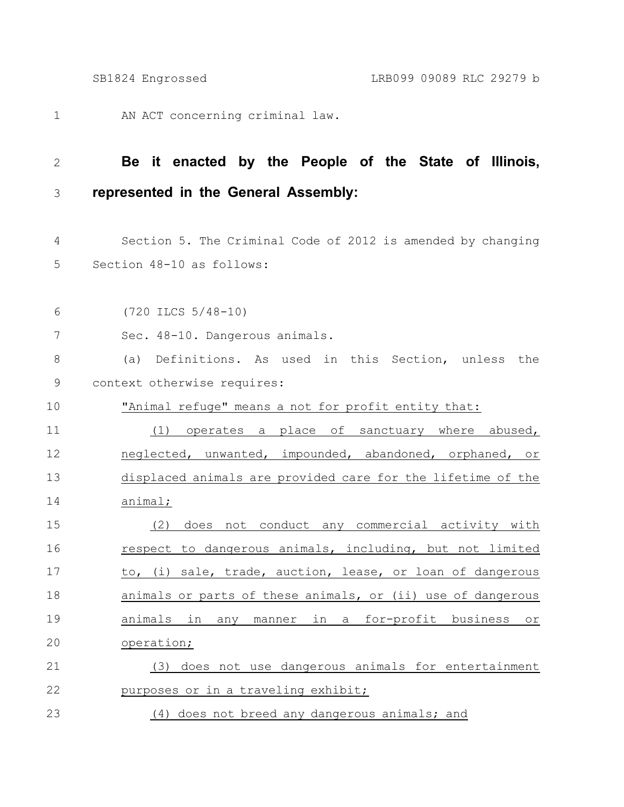- AN ACT concerning criminal law. 1
- 

## **Be it enacted by the People of the State of Illinois, represented in the General Assembly:** 2 3

- Section 5. The Criminal Code of 2012 is amended by changing Section 48-10 as follows: 4 5
- (720 ILCS 5/48-10) 6
- Sec. 48-10. Dangerous animals. 7
- (a) Definitions. As used in this Section, unless the context otherwise requires: 8 9
- "Animal refuge" means a not for profit entity that: 10
- (1) operates a place of sanctuary where abused, neglected, unwanted, impounded, abandoned, orphaned, or displaced animals are provided care for the lifetime of the animal; 11 12 13 14
- (2) does not conduct any commercial activity with respect to dangerous animals, including, but not limited to, (i) sale, trade, auction, lease, or loan of dangerous animals or parts of these animals, or (ii) use of dangerous animals in any manner in a for-profit business or operation; (3) does not use dangerous animals for entertainment 15 16 17 18 19 20 21
- purposes or in a traveling exhibit; 22
- (4) does not breed any dangerous animals; and 23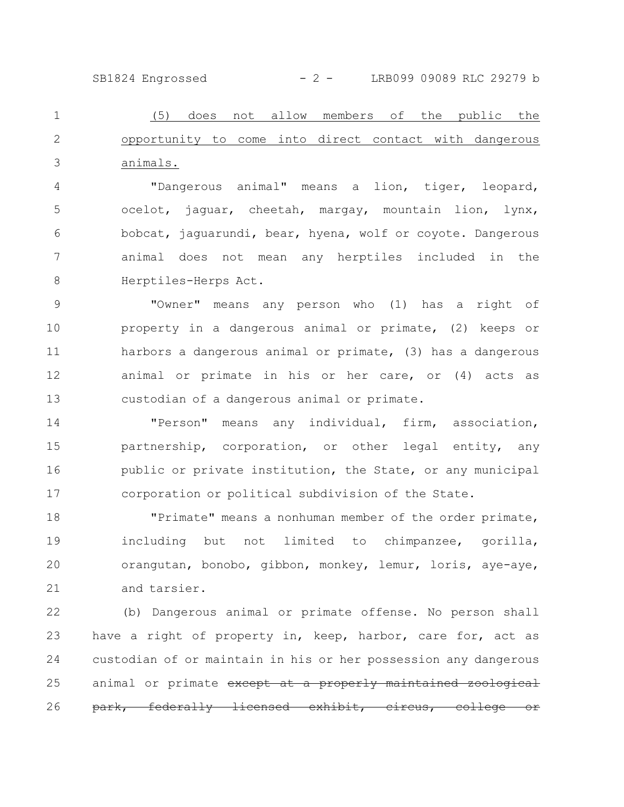SB1824 Engrossed - 2 - LRB099 09089 RLC 29279 b

(5) does not allow members of the public the opportunity to come into direct contact with dangerous animals. 1 2 3

"Dangerous animal" means a lion, tiger, leopard, ocelot, jaguar, cheetah, margay, mountain lion, lynx, bobcat, jaguarundi, bear, hyena, wolf or coyote. Dangerous animal does not mean any herptiles included in the Herptiles-Herps Act. 4 5 6 7 8

"Owner" means any person who (1) has a right of property in a dangerous animal or primate, (2) keeps or harbors a dangerous animal or primate, (3) has a dangerous animal or primate in his or her care, or (4) acts as custodian of a dangerous animal or primate. 9 10 11 12 13

"Person" means any individual, firm, association, partnership, corporation, or other legal entity, any public or private institution, the State, or any municipal corporation or political subdivision of the State. 14 15 16 17

"Primate" means a nonhuman member of the order primate, including but not limited to chimpanzee, gorilla, orangutan, bonobo, gibbon, monkey, lemur, loris, aye-aye, and tarsier. 18 19 20 21

(b) Dangerous animal or primate offense. No person shall have a right of property in, keep, harbor, care for, act as custodian of or maintain in his or her possession any dangerous animal or primate except at a properly maintained zoological park, federally licensed exhibit, circus, 22 23 24 25 26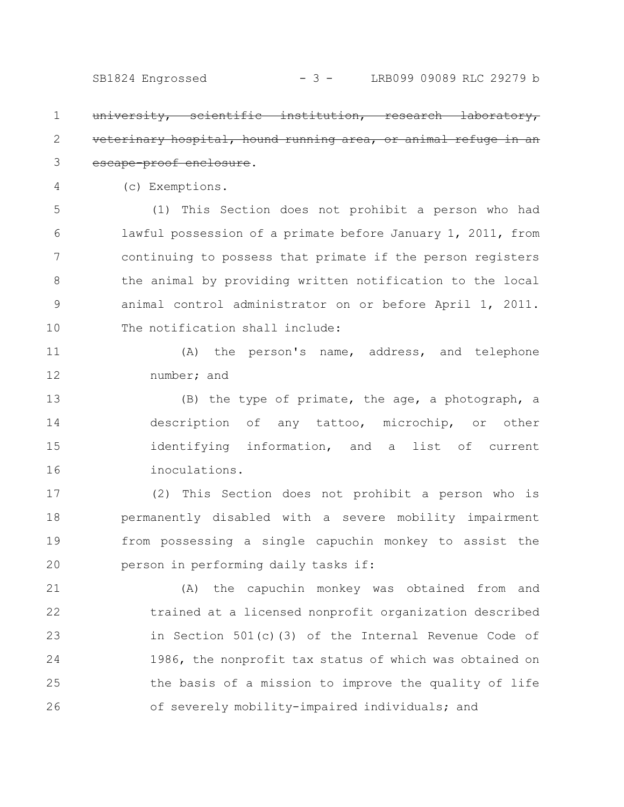iversity, scientific institution, research erinary hospital, hound running area, or animal escape-proof enclosure. 1 2 3

(c) Exemptions.

4

(1) This Section does not prohibit a person who had lawful possession of a primate before January 1, 2011, from continuing to possess that primate if the person registers the animal by providing written notification to the local animal control administrator on or before April 1, 2011. The notification shall include: 5 6 7 8 9 10

(A) the person's name, address, and telephone number; and 11 12

(B) the type of primate, the age, a photograph, a description of any tattoo, microchip, or other identifying information, and a list of current inoculations. 13 14 15 16

(2) This Section does not prohibit a person who is permanently disabled with a severe mobility impairment from possessing a single capuchin monkey to assist the person in performing daily tasks if: 17 18 19 20

(A) the capuchin monkey was obtained from and trained at a licensed nonprofit organization described in Section 501(c)(3) of the Internal Revenue Code of 1986, the nonprofit tax status of which was obtained on the basis of a mission to improve the quality of life of severely mobility-impaired individuals; and 21 22 23 24 25 26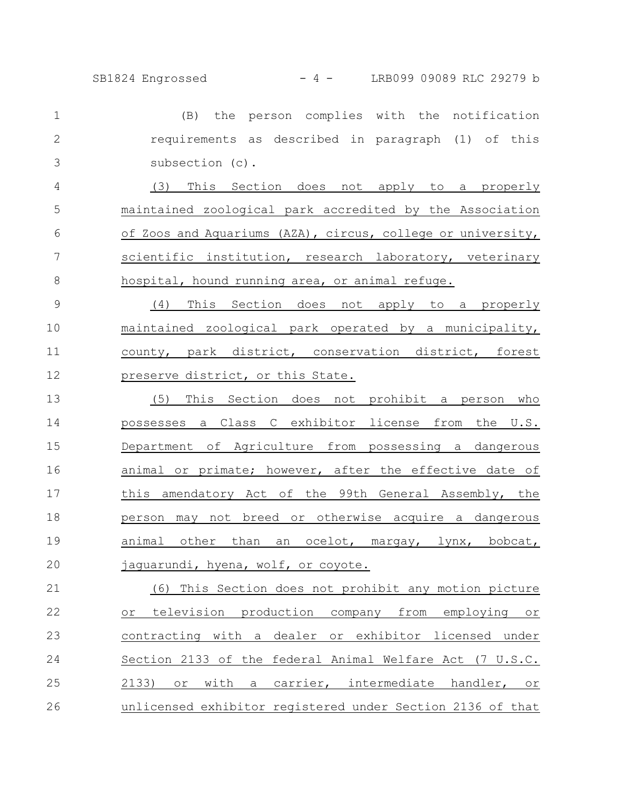SB1824 Engrossed - 4 - LRB099 09089 RLC 29279 b

(B) the person complies with the notification requirements as described in paragraph (1) of this subsection (c). 1 2 3

(3) This Section does not apply to a properly maintained zoological park accredited by the Association of Zoos and Aquariums (AZA), circus, college or university, scientific institution, research laboratory, veterinary hospital, hound running area, or animal refuge. 4 5 6 7 8

(4) This Section does not apply to a properly maintained zoological park operated by a municipality, county, park district, conservation district, forest preserve district, or this State. 9 10 11 12

(5) This Section does not prohibit a person who possesses a Class C exhibitor license from the U.S. Department of Agriculture from possessing a dangerous animal or primate; however, after the effective date of this amendatory Act of the 99th General Assembly, the person may not breed or otherwise acquire a dangerous animal other than an ocelot, margay, lynx, bobcat, jaguarundi, hyena, wolf, or coyote. 13 14 15 16 17 18 19 20

(6) This Section does not prohibit any motion picture or television production company from employing or contracting with a dealer or exhibitor licensed under Section 2133 of the federal Animal Welfare Act (7 U.S.C. 2133) or with a carrier, intermediate handler, or unlicensed exhibitor registered under Section 2136 of that 21 22 23 24 25 26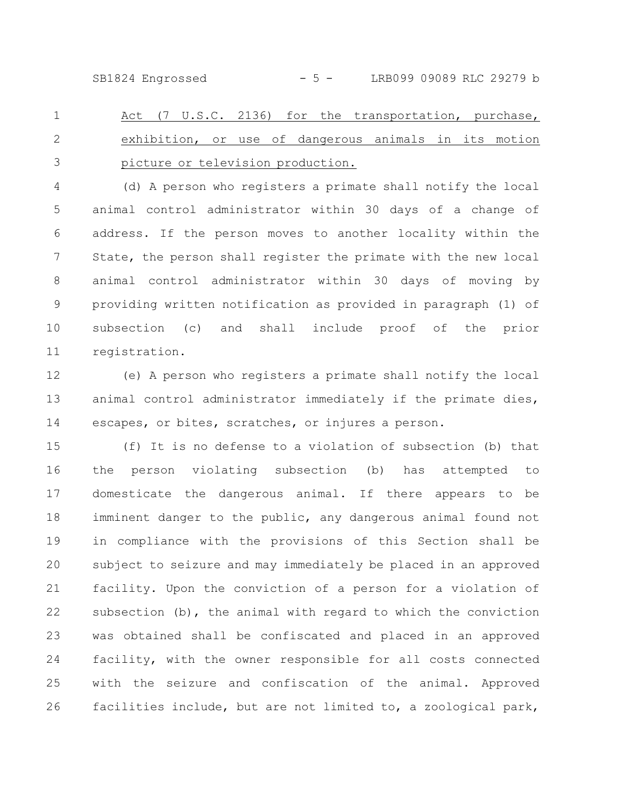SB1824 Engrossed - 5 - LRB099 09089 RLC 29279 b

Act (7 U.S.C. 2136) for the transportation, purchase, exhibition, or use of dangerous animals in its motion picture or television production. 1 2 3

(d) A person who registers a primate shall notify the local animal control administrator within 30 days of a change of address. If the person moves to another locality within the State, the person shall register the primate with the new local animal control administrator within 30 days of moving by providing written notification as provided in paragraph (1) of subsection (c) and shall include proof of the prior registration. 4 5 6 7 8 9 10 11

(e) A person who registers a primate shall notify the local animal control administrator immediately if the primate dies, escapes, or bites, scratches, or injures a person. 12 13 14

(f) It is no defense to a violation of subsection (b) that the person violating subsection (b) has attempted to domesticate the dangerous animal. If there appears to be imminent danger to the public, any dangerous animal found not in compliance with the provisions of this Section shall be subject to seizure and may immediately be placed in an approved facility. Upon the conviction of a person for a violation of subsection  $(b)$ , the animal with regard to which the conviction was obtained shall be confiscated and placed in an approved facility, with the owner responsible for all costs connected with the seizure and confiscation of the animal. Approved facilities include, but are not limited to, a zoological park, 15 16 17 18 19 20 21 22 23 24 25 26